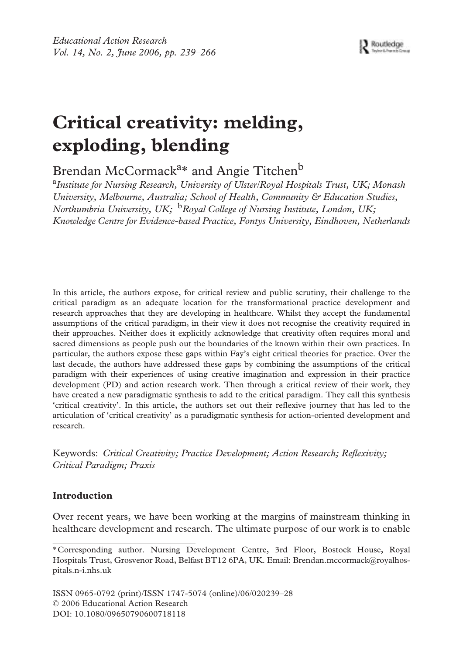# **Critical creativity: melding, exploding, blending**

Brendan McCormack<sup>a</sup>\* and Angie Titchen<sup>b</sup>

a *Institute for Nursing Research, University of Ulster/Royal Hospitals Trust, UK; Monash University, Melbourne, Australia; School of Health, Community & Education Studies, Northumbria University, UK;* b*Royal College of Nursing Institute, London, UK; Knowledge Centre for Evidence-based Practice, Fontys University, Eindhoven, Netherlands*

In this article, the authors expose, for critical review and public scrutiny, their challenge to the critical paradigm as an adequate location for the transformational practice development and research approaches that they are developing in healthcare. Whilst they accept the fundamental assumptions of the critical paradigm, in their view it does not recognise the creativity required in their approaches. Neither does it explicitly acknowledge that creativity often requires moral and sacred dimensions as people push out the boundaries of the known within their own practices. In particular, the authors expose these gaps within Fay's eight critical theories for practice. Over the last decade, the authors have addressed these gaps by combining the assumptions of the critical paradigm with their experiences of using creative imagination and expression in their practice development (PD) and action research work. Then through a critical review of their work, they have created a new paradigmatic synthesis to add to the critical paradigm. They call this synthesis 'critical creativity'. In this article, the authors set out their reflexive journey that has led to the articulation of 'critical creativity' as a paradigmatic synthesis for action-oriented development and research.

Keywords: *Critical Creativity; Practice Development; Action Research; Reflexivity; Critical Paradigm; Praxis*

# **Introduction**

Over recent years, we have been working at the margins of mainstream thinking in healthcare development and research. The ultimate purpose of our work is to enable

ISSN 0965-0792 (print)/ISSN 1747-5074 (online)/06/020239–28 © 2006 Educational Action Research DOI: 10.1080/09650790600718118

<sup>\*</sup>Corresponding author. Nursing Development Centre, 3rd Floor, Bostock House, Royal Hospitals Trust, Grosvenor Road, Belfast BT12 6PA, UK. Email: Brendan.mccormack@royalhospitals.n-i.nhs.uk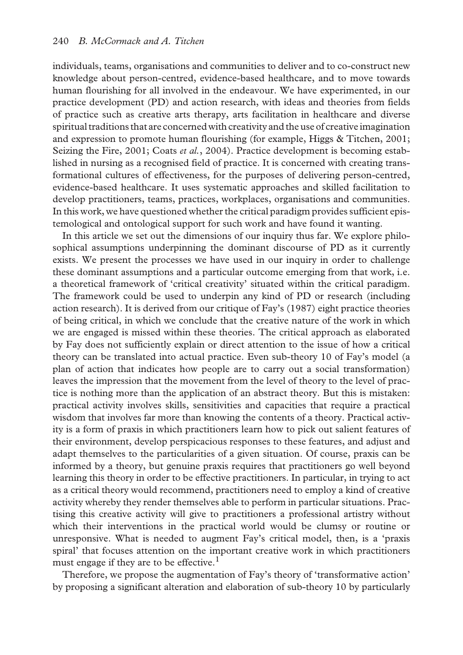individuals, teams, organisations and communities to deliver and to co-construct new knowledge about person-centred, evidence-based healthcare, and to move towards human flourishing for all involved in the endeavour. We have experimented, in our practice development (PD) and action research, with ideas and theories from fields of practice such as creative arts therapy, arts facilitation in healthcare and diverse spiritual traditions that are concerned with creativity and the use of creative imagination and expression to promote human flourishing (for example, Higgs & Titchen, 2001; Seizing the Fire, 2001; Coats *et al.*, 2004). Practice development is becoming established in nursing as a recognised field of practice. It is concerned with creating transformational cultures of effectiveness, for the purposes of delivering person-centred, evidence-based healthcare. It uses systematic approaches and skilled facilitation to develop practitioners, teams, practices, workplaces, organisations and communities. In this work, we have questioned whether the critical paradigm provides sufficient epistemological and ontological support for such work and have found it wanting.

In this article we set out the dimensions of our inquiry thus far. We explore philosophical assumptions underpinning the dominant discourse of PD as it currently exists. We present the processes we have used in our inquiry in order to challenge these dominant assumptions and a particular outcome emerging from that work, i.e. a theoretical framework of 'critical creativity' situated within the critical paradigm. The framework could be used to underpin any kind of PD or research (including action research). It is derived from our critique of Fay's (1987) eight practice theories of being critical, in which we conclude that the creative nature of the work in which we are engaged is missed within these theories. The critical approach as elaborated by Fay does not sufficiently explain or direct attention to the issue of how a critical theory can be translated into actual practice. Even sub-theory 10 of Fay's model (a plan of action that indicates how people are to carry out a social transformation) leaves the impression that the movement from the level of theory to the level of practice is nothing more than the application of an abstract theory. But this is mistaken: practical activity involves skills, sensitivities and capacities that require a practical wisdom that involves far more than knowing the contents of a theory. Practical activity is a form of praxis in which practitioners learn how to pick out salient features of their environment, develop perspicacious responses to these features, and adjust and adapt themselves to the particularities of a given situation. Of course, praxis can be informed by a theory, but genuine praxis requires that practitioners go well beyond learning this theory in order to be effective practitioners. In particular, in trying to act as a critical theory would recommend, practitioners need to employ a kind of creative activity whereby they render themselves able to perform in particular situations. Practising this creative activity will give to practitioners a professional artistry without which their interventions in the practical world would be clumsy or routine or unresponsive. What is needed to augment Fay's critical model, then, is a 'praxis spiral' that focuses attention on the important creative work in which practitioners must engage if they are to be effective.<sup>1</sup>

Therefore, we propose the augmentation of Fay's theory of 'transformative action' by proposing a significant alteration and elaboration of sub-theory 10 by particularly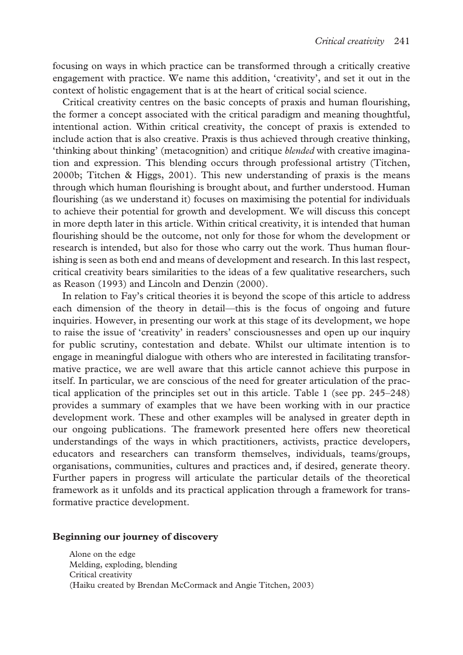focusing on ways in which practice can be transformed through a critically creative engagement with practice. We name this addition, 'creativity', and set it out in the context of holistic engagement that is at the heart of critical social science.

Critical creativity centres on the basic concepts of praxis and human flourishing, the former a concept associated with the critical paradigm and meaning thoughtful, intentional action. Within critical creativity, the concept of praxis is extended to include action that is also creative. Praxis is thus achieved through creative thinking, 'thinking about thinking' (metacognition) and critique *blended* with creative imagination and expression. This blending occurs through professional artistry (Titchen, 2000b; Titchen & Higgs, 2001). This new understanding of praxis is the means through which human flourishing is brought about, and further understood. Human flourishing (as we understand it) focuses on maximising the potential for individuals to achieve their potential for growth and development. We will discuss this concept in more depth later in this article. Within critical creativity, it is intended that human flourishing should be the outcome, not only for those for whom the development or research is intended, but also for those who carry out the work. Thus human flourishing is seen as both end and means of development and research. In this last respect, critical creativity bears similarities to the ideas of a few qualitative researchers, such as Reason (1993) and Lincoln and Denzin (2000).

In relation to Fay's critical theories it is beyond the scope of this article to address each dimension of the theory in detail—this is the focus of ongoing and future inquiries. However, in presenting our work at this stage of its development, we hope to raise the issue of 'creativity' in readers' consciousnesses and open up our inquiry for public scrutiny, contestation and debate. Whilst our ultimate intention is to engage in meaningful dialogue with others who are interested in facilitating transformative practice, we are well aware that this article cannot achieve this purpose in itself. In particular, we are conscious of the need for greater articulation of the practical application of the principles set out in this article. Table 1 (see pp. 245–248) provides a summary of examples that we have been working with in our practice development work. These and other examples will be analysed in greater depth in our ongoing publications. The framework presented here offers new theoretical understandings of the ways in which practitioners, activists, practice developers, educators and researchers can transform themselves, individuals, teams/groups, organisations, communities, cultures and practices and, if desired, generate theory. Further papers in progress will articulate the particular details of the theoretical framework as it unfolds and its practical application through a framework for transformative practice development.

#### **Beginning our journey of discovery**

Alone on the edge Melding, exploding, blending Critical creativity (Haiku created by Brendan McCormack and Angie Titchen, 2003)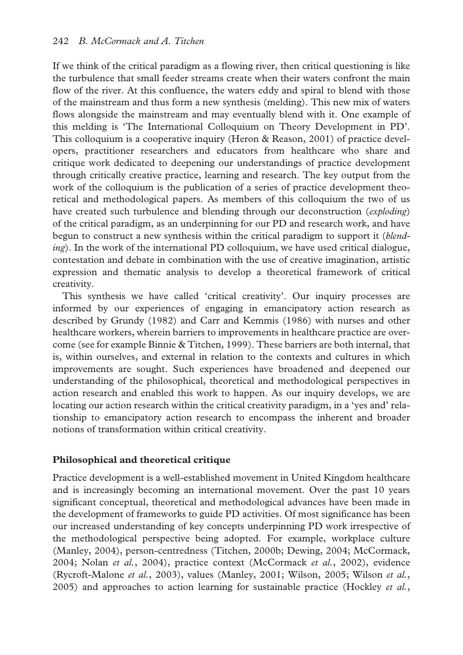If we think of the critical paradigm as a flowing river, then critical questioning is like the turbulence that small feeder streams create when their waters confront the main flow of the river. At this confluence, the waters eddy and spiral to blend with those of the mainstream and thus form a new synthesis (melding). This new mix of waters flows alongside the mainstream and may eventually blend with it. One example of this melding is 'The International Colloquium on Theory Development in PD'. This colloquium is a cooperative inquiry (Heron & Reason, 2001) of practice developers, practitioner researchers and educators from healthcare who share and critique work dedicated to deepening our understandings of practice development through critically creative practice, learning and research. The key output from the work of the colloquium is the publication of a series of practice development theoretical and methodological papers. As members of this colloquium the two of us have created such turbulence and blending through our deconstruction (*exploding*) of the critical paradigm, as an underpinning for our PD and research work, and have begun to construct a new synthesis within the critical paradigm to support it (*blending*). In the work of the international PD colloquium, we have used critical dialogue, contestation and debate in combination with the use of creative imagination, artistic expression and thematic analysis to develop a theoretical framework of critical creativity.

This synthesis we have called 'critical creativity'. Our inquiry processes are informed by our experiences of engaging in emancipatory action research as described by Grundy (1982) and Carr and Kemmis (1986) with nurses and other healthcare workers, wherein barriers to improvements in healthcare practice are overcome (see for example Binnie & Titchen, 1999). These barriers are both internal, that is, within ourselves, and external in relation to the contexts and cultures in which improvements are sought. Such experiences have broadened and deepened our understanding of the philosophical, theoretical and methodological perspectives in action research and enabled this work to happen. As our inquiry develops, we are locating our action research within the critical creativity paradigm, in a 'yes and' relationship to emancipatory action research to encompass the inherent and broader notions of transformation within critical creativity.

## **Philosophical and theoretical critique**

Practice development is a well-established movement in United Kingdom healthcare and is increasingly becoming an international movement. Over the past 10 years significant conceptual, theoretical and methodological advances have been made in the development of frameworks to guide PD activities. Of most significance has been our increased understanding of key concepts underpinning PD work irrespective of the methodological perspective being adopted. For example, workplace culture (Manley, 2004), person-centredness (Titchen, 2000b; Dewing, 2004; McCormack, 2004; Nolan *et al.*, 2004), practice context (McCormack *et al.*, 2002), evidence (Rycroft-Malone *et al.*, 2003), values (Manley, 2001; Wilson, 2005; Wilson *et al.*, 2005) and approaches to action learning for sustainable practice (Hockley *et al.*,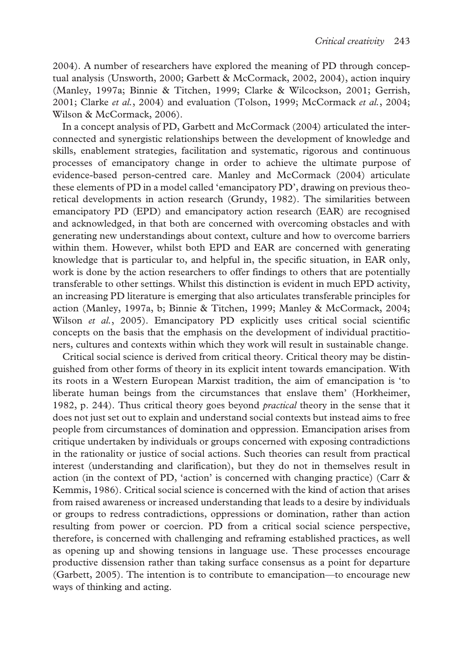2004). A number of researchers have explored the meaning of PD through conceptual analysis (Unsworth, 2000; Garbett & McCormack, 2002, 2004), action inquiry (Manley, 1997a; Binnie & Titchen, 1999; Clarke & Wilcockson, 2001; Gerrish, 2001; Clarke *et al.*, 2004) and evaluation (Tolson, 1999; McCormack *et al.*, 2004; Wilson & McCormack, 2006).

In a concept analysis of PD, Garbett and McCormack (2004) articulated the interconnected and synergistic relationships between the development of knowledge and skills, enablement strategies, facilitation and systematic, rigorous and continuous processes of emancipatory change in order to achieve the ultimate purpose of evidence-based person-centred care. Manley and McCormack (2004) articulate these elements of PD in a model called 'emancipatory PD', drawing on previous theoretical developments in action research (Grundy, 1982). The similarities between emancipatory PD (EPD) and emancipatory action research (EAR) are recognised and acknowledged, in that both are concerned with overcoming obstacles and with generating new understandings about context, culture and how to overcome barriers within them. However, whilst both EPD and EAR are concerned with generating knowledge that is particular to, and helpful in, the specific situation, in EAR only, work is done by the action researchers to offer findings to others that are potentially transferable to other settings. Whilst this distinction is evident in much EPD activity, an increasing PD literature is emerging that also articulates transferable principles for action (Manley, 1997a, b; Binnie & Titchen, 1999; Manley & McCormack, 2004; Wilson *et al.*, 2005). Emancipatory PD explicitly uses critical social scientific concepts on the basis that the emphasis on the development of individual practitioners, cultures and contexts within which they work will result in sustainable change.

Critical social science is derived from critical theory. Critical theory may be distinguished from other forms of theory in its explicit intent towards emancipation. With its roots in a Western European Marxist tradition, the aim of emancipation is 'to liberate human beings from the circumstances that enslave them' (Horkheimer, 1982, p. 244). Thus critical theory goes beyond *practical* theory in the sense that it does not just set out to explain and understand social contexts but instead aims to free people from circumstances of domination and oppression. Emancipation arises from critique undertaken by individuals or groups concerned with exposing contradictions in the rationality or justice of social actions. Such theories can result from practical interest (understanding and clarification), but they do not in themselves result in action (in the context of PD, 'action' is concerned with changing practice) (Carr & Kemmis, 1986). Critical social science is concerned with the kind of action that arises from raised awareness or increased understanding that leads to a desire by individuals or groups to redress contradictions, oppressions or domination, rather than action resulting from power or coercion. PD from a critical social science perspective, therefore, is concerned with challenging and reframing established practices, as well as opening up and showing tensions in language use. These processes encourage productive dissension rather than taking surface consensus as a point for departure (Garbett, 2005). The intention is to contribute to emancipation—to encourage new ways of thinking and acting.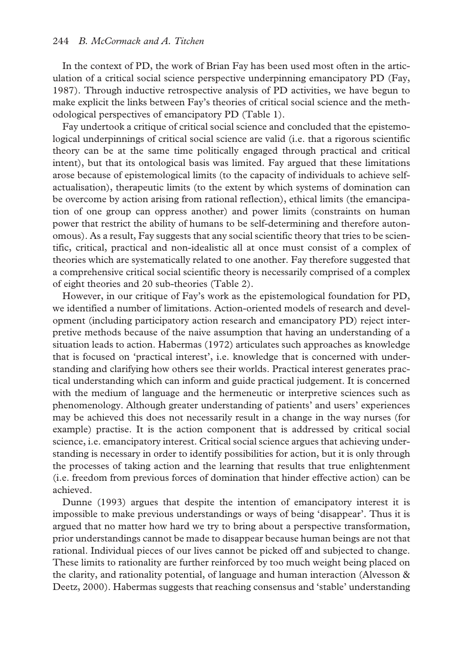In the context of PD, the work of Brian Fay has been used most often in the articulation of a critical social science perspective underpinning emancipatory PD (Fay, 1987). Through inductive retrospective analysis of PD activities, we have begun to make explicit the links between Fay's theories of critical social science and the methodological perspectives of emancipatory PD (Table 1).

Fay undertook a critique of critical social science and concluded that the epistemological underpinnings of critical social science are valid (i.e. that a rigorous scientific theory can be at the same time politically engaged through practical and critical intent), but that its ontological basis was limited. Fay argued that these limitations arose because of epistemological limits (to the capacity of individuals to achieve selfactualisation), therapeutic limits (to the extent by which systems of domination can be overcome by action arising from rational reflection), ethical limits (the emancipation of one group can oppress another) and power limits (constraints on human power that restrict the ability of humans to be self-determining and therefore autonomous). As a result, Fay suggests that any social scientific theory that tries to be scientific, critical, practical and non-idealistic all at once must consist of a complex of theories which are systematically related to one another. Fay therefore suggested that a comprehensive critical social scientific theory is necessarily comprised of a complex of eight theories and 20 sub-theories (Table 2).

However, in our critique of Fay's work as the epistemological foundation for PD, we identified a number of limitations. Action-oriented models of research and development (including participatory action research and emancipatory PD) reject interpretive methods because of the naive assumption that having an understanding of a situation leads to action. Habermas (1972) articulates such approaches as knowledge that is focused on 'practical interest', i.e. knowledge that is concerned with understanding and clarifying how others see their worlds. Practical interest generates practical understanding which can inform and guide practical judgement. It is concerned with the medium of language and the hermeneutic or interpretive sciences such as phenomenology. Although greater understanding of patients' and users' experiences may be achieved this does not necessarily result in a change in the way nurses (for example) practise. It is the action component that is addressed by critical social science, i.e. emancipatory interest. Critical social science argues that achieving understanding is necessary in order to identify possibilities for action, but it is only through the processes of taking action and the learning that results that true enlightenment (i.e. freedom from previous forces of domination that hinder effective action) can be achieved.

Dunne (1993) argues that despite the intention of emancipatory interest it is impossible to make previous understandings or ways of being 'disappear'. Thus it is argued that no matter how hard we try to bring about a perspective transformation, prior understandings cannot be made to disappear because human beings are not that rational. Individual pieces of our lives cannot be picked off and subjected to change. These limits to rationality are further reinforced by too much weight being placed on the clarity, and rationality potential, of language and human interaction (Alvesson & Deetz, 2000). Habermas suggests that reaching consensus and 'stable' understanding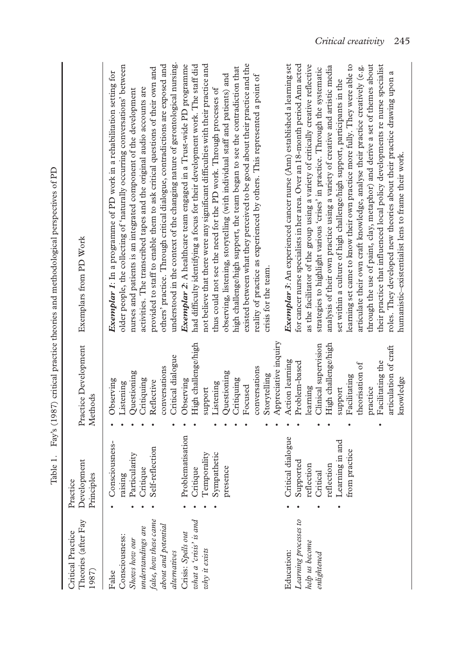| Theories (after Fay<br>Critical Practice<br>1987)                                                                              | Development<br>Principles<br>Practice                                                                      | Practice Development<br>Methods                                                                                                                                                                                 | Exemplars from PD Work                                                                                                                                                                                                                                                                                                                                                                                                                                                                                                                                                                                                                                                                                                                                                                                                                                                                                                                                  |
|--------------------------------------------------------------------------------------------------------------------------------|------------------------------------------------------------------------------------------------------------|-----------------------------------------------------------------------------------------------------------------------------------------------------------------------------------------------------------------|---------------------------------------------------------------------------------------------------------------------------------------------------------------------------------------------------------------------------------------------------------------------------------------------------------------------------------------------------------------------------------------------------------------------------------------------------------------------------------------------------------------------------------------------------------------------------------------------------------------------------------------------------------------------------------------------------------------------------------------------------------------------------------------------------------------------------------------------------------------------------------------------------------------------------------------------------------|
| false, how these came<br>about and potential<br>understandings are<br>Consciousness:<br>Shows how our<br>alternatives<br>False | Consciousness-<br>Self-reflection<br>Particularity<br>Critique<br>raising                                  | Critical dialogue<br>conversations<br>Questioning<br>Critiquing<br>bserving<br>Reflective<br>Listening<br>$\circ$                                                                                               | understood in the context of the changing nature of gerontological nursing.<br>others' practice. Through critical dialogue, contradictions are exposed and<br>older people, the collecting of 'naturally occurring conversations' between<br>provided to staff to enable them to ask critical questions of their own and<br>Exemplar 1: In a programme of PD work in a rehabilitation setting for<br>activities. The transcribed tapes and the original audio accounts are<br>nurses and patients is an integrated component of the development                                                                                                                                                                                                                                                                                                                                                                                                         |
| what a 'crisis' is and<br>Crisis: Spells out<br>why it exists                                                                  | Problematisation<br>Sympathetic<br>Temporality<br>presence<br>Critique                                     | Appreciative inquiry<br>High challenge/high<br>conversations<br>uestioning<br>Storytelling<br>Critiquing<br>bserving<br>Listening<br>Focused<br>support<br>$\mathsf{\circ}$<br>0                                | existed between what they perceived to be good about their practice and the<br>not believe that there were any significant difficulties with their practice and<br>Exemplar 2: A healthcare team engaged in a Trust-wide PD programme<br>had difficulty identifying a focus for their development work. The staff did<br>high challenge/high support, the team began to see the contradiction that<br>observing, listening, storytelling (with individual staff and patients) and<br>reality of practice as experienced by others. This represented a point of<br>thus could not see the need for the PD work. Through processes of<br>crisis for the team.                                                                                                                                                                                                                                                                                             |
| Learning processes to<br>help us become<br>Education:<br>$\emph{enughtened}$                                                   | Critical dialogue<br>Learning in and<br>from practice<br>Supported<br>reflection<br>reflection<br>Critical | Clinical supervision<br>High challenge/high<br>articulation of craft<br>Action learning<br>practice<br>Facilitating the<br>Problem-based<br>theorisation of<br>Facilitating<br>knowledge<br>learning<br>support | Exemplar 3: An experienced cancer nurse (Ann) established a learning set<br>learning set came to know their own practice more fully. They were able to<br>for cancer nurse specialists in her area. Over an 18-month period Ann acted<br>through the use of paint, clay, metaphor) and derive a set of themes about<br>as the facilitator of the group using a variety of critically creative reflective<br>their practice that influenced local policy developments re nurse specialist<br>articulate their own craft knowledge, analyse their practice creatively (e.g.<br>analysis of their own practice using a variety of creative and artistic media<br>strategies to highlight various 'crises' in practice. Through the systematic<br>roles. They developed new theories about their practice drawing upon a<br>set within a culture of high challenge/high support, participants in the<br>humanistic-existentialist lens to frame their work. |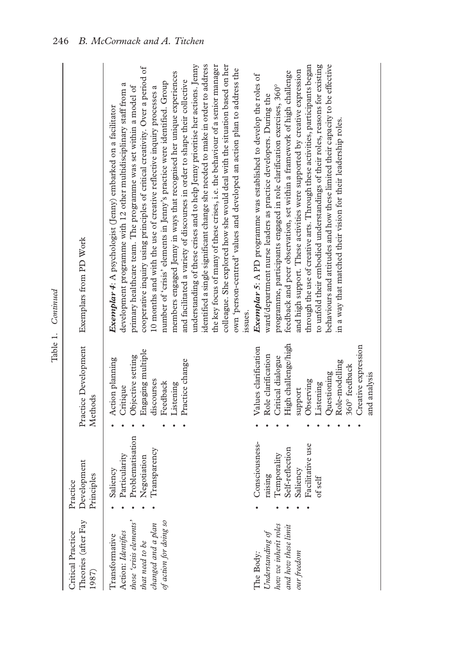| ٠ |  |
|---|--|
|   |  |
| ٠ |  |
|   |  |

| Principles<br>Practice<br>Theories (after Fay<br>Critical Practice<br>1987)                                                        |                                                                                  |                                                                                                                                                                                                                                   |                                                                                                                                                                                                                                                                                                                                                                                                                                                                                                                                                                                                                                                                                                                                                                                                                                                                                                                                                                                                              |
|------------------------------------------------------------------------------------------------------------------------------------|----------------------------------------------------------------------------------|-----------------------------------------------------------------------------------------------------------------------------------------------------------------------------------------------------------------------------------|--------------------------------------------------------------------------------------------------------------------------------------------------------------------------------------------------------------------------------------------------------------------------------------------------------------------------------------------------------------------------------------------------------------------------------------------------------------------------------------------------------------------------------------------------------------------------------------------------------------------------------------------------------------------------------------------------------------------------------------------------------------------------------------------------------------------------------------------------------------------------------------------------------------------------------------------------------------------------------------------------------------|
|                                                                                                                                    | Development                                                                      | tice Development<br>Methods<br>Pract                                                                                                                                                                                              | Exemplars from PD Work                                                                                                                                                                                                                                                                                                                                                                                                                                                                                                                                                                                                                                                                                                                                                                                                                                                                                                                                                                                       |
| those 'crisis elements'<br>of action for doing so<br>changed and a plan<br>Action: Identifies<br>Transformative<br>that need to be | Problematisation<br>Transparency<br>Particularity<br>Negotiation<br>Saliency     | Engaging multiple<br>bjective setting<br>Action planning<br>ractice change<br>iscourses<br>eedback<br>istening<br>Iritique                                                                                                        | understanding of these crises and to help Jenny prioritise her actions. Jenny<br>identified a single significant change she needed to make in order to address<br>the key focus of many of these crises, i.e. the behaviour of a senior manager<br>colleague. She explored how she would deal with the situation based on her<br>cooperative inquiry using principles of critical creativity. Over a period of<br>own 'person-centred' values and developed an action plan to address the<br>members engaged Jenny in ways that recognised her unique experiences<br>and facilitated a variety of discourses in order to shape their collective<br>number of 'crisis' elements in Jenny's practice were identified. Group<br>development programme with 12 other multidisciplinary staff from a<br>primary healthcare team. The programme was set within a model of<br>10 months and with the use of creative reflective inquiry processes a<br>Exemplar 4: A psychologist (Jenny) embarked on a facilitator |
| raising<br>$of$ self<br>how we inherit roles<br>and how these limit<br>Understanding of<br>our freedom<br>The Body:                | Consciousness-<br>Facilitative use<br>Self-reflection<br>Temporality<br>Saliency | ligh challenge/high<br>creative expression<br>alues clarification<br>cole clarification<br>Iritical dialogue<br>Role-modelling<br>60° feedback<br>Questioning<br>and analysis<br>bserving<br>istening<br>support<br>$\mathcal{E}$ | through the use of creative arts. Through these activities, participants began<br>behaviours and attitudes and how these limited their capacity to be effective<br>to unfold their embodied understandings of their roles, reasons for existing<br>and high support. These activities were supported by creative expression<br>feedback and peer observation, set within a framework of high challenge<br>Exemplar 5: A PD programme was established to develop the roles of<br>programme, participants engaged in role clarification exercises, 360°<br>ward/department nurse leaders as practice developers. During the<br>in a way that matched their vision for their leadership roles.<br>issues.                                                                                                                                                                                                                                                                                                       |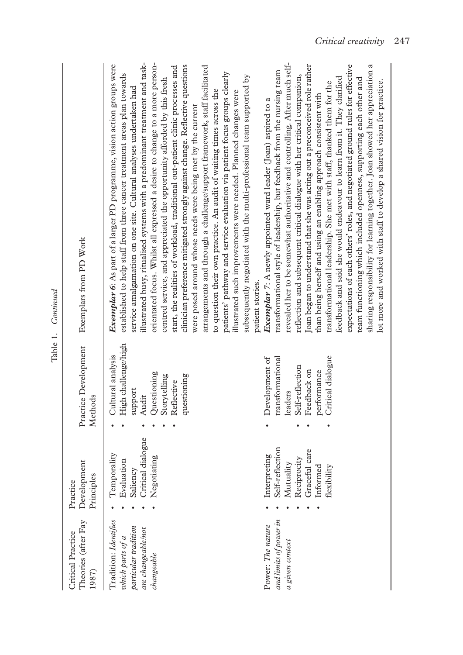|                                                                                                       |                                                                           |                                                                                                                          | Table 1. Continued                                                                                                                                                                                                                                                                                                                                                                                                                                                                                                                                                                                                                                                                                                                                                                                                                                                                                                                                                                                                        |
|-------------------------------------------------------------------------------------------------------|---------------------------------------------------------------------------|--------------------------------------------------------------------------------------------------------------------------|---------------------------------------------------------------------------------------------------------------------------------------------------------------------------------------------------------------------------------------------------------------------------------------------------------------------------------------------------------------------------------------------------------------------------------------------------------------------------------------------------------------------------------------------------------------------------------------------------------------------------------------------------------------------------------------------------------------------------------------------------------------------------------------------------------------------------------------------------------------------------------------------------------------------------------------------------------------------------------------------------------------------------|
| Theories (after Fay<br>Critical Practice<br>1987)                                                     | Development<br>Principles<br>Practice                                     | Practice Development<br>Methods                                                                                          | Exemplars from PD Work                                                                                                                                                                                                                                                                                                                                                                                                                                                                                                                                                                                                                                                                                                                                                                                                                                                                                                                                                                                                    |
| Tradition: Identifies<br>particular tradition<br>are changeable/not<br>which parts of a<br>changeable | Critical dialogue<br>Temporality<br>Negotiating<br>Evaluation<br>Saliency | High challenge/high<br>Cultural analysis<br>Questioning<br>questioning<br>Storytelling<br>Reflective<br>support<br>Audit | Exemplar 6: As part of a larger PD programme, vision action grov<br>established to help staff from three cancer treatment areas plan to<br>service amalgamation on one site. Cultural analyses undertaken h<br>illustrated busy, ritualised systems with a predominant treatment a<br>orientated focus. Whilst all expressed a desire to change to a more<br>start, the realities of workload, traditional out-patient clinic proce<br>clinician preference mitigated strongly against change. Reflective q<br>arrangements and through a challenge/support framework, staff fa<br>to question their own practice. An audit of waiting times across th<br>illustrated such improvements were needed. Planned changes wer<br>subsequently negotiated with the multi-professional team support<br>centred service, and appreciated the opportunity afforded by this<br>patients' pathway and service evaluation via patient focus groups<br>were posed around whose needs were being met by the current<br>patient stories. |
| and limits of power in<br>Power: The nature                                                           | Self-reflection<br>Interpreting                                           | transformational<br>Development of                                                                                       | transformational style of leadership, but feedback from the nursin<br>Exemplar 7: A newly appointed ward leader (Joan) aspired to a                                                                                                                                                                                                                                                                                                                                                                                                                                                                                                                                                                                                                                                                                                                                                                                                                                                                                       |

*and limits of power in*  Power: *The nature*  a given context *a given context*  $P_{\rm O}$  $\tilde{a}$ 

- Mutuality • Mutuality ••
- Reciprocity · Reciprocity

•

•

- Graceful care Graceful care Informed Informed flexibility
- leaders
	- Self-reflection Self-reflection Feedback on Feedback on ••
- Critical dialogue Critical dialogue performance performance •

*Exemplar 6*: As part of a larger PD programme, vision action groups were and taske personquestions clinician preference mitigated strongly against change. Reflective questions arrangements and through a challenge/support framework, staff facilitated ups were illustrated busy, ritualised systems with a predominant treatment and taskorientated focus. Whilst all expressed a desire to change to a more personstart, the realities of workload, traditional out-patient clinic processes and sses and icilitated clearly wards patients' pathway and service evaluation via patient focus groups clearly established to help staff from three cancer treatment areas plan towards fresh ed by subsequently negotiated with the multi-professional team supported by centred service, and appreciated the opportunity afforded by this fresh nad<br>Lac .<br>ლ  $1e$ service amalgamation on one site. Cultural analyses undertaken had to question their own practice. An audit of waiting times across the illustrated such improvements were needed. Planned changes were

revealed her to be somewhat authoritative and controlling. After much self-Joan began to understand that she was acting out a preconceived role rather expectations of each others' roles, and negotiated ground rules for effective sharing responsibility for learning together. Joan showed her appreciation a sharing responsibility for learning together. Joan showed her appreciation a revealed her to be somewhat authoritative and controlling. After much self-Joan began to understand that she was acting out a preconceived role rather expectations of each others' roles, and negotiated ground rules for effective transformational style of leadership, but feedback from the nursing team ig team reflection and subsequent critical dialogue with her critical companion, reflection and subsequent critical dialogue with her critical companion, feedback and said she would endeavour to learn from it. They clarified feedback and said she would endeavour to learn from it. They clarified ceam functioning which included openness, supporting each other and team functioning which included openness, supporting each other and ot more and worked with staff to develop a shared vision for practice. transformational leadership. She met with staff, thanked them for the transformational leadership. She met with staff, thanked them for the lot more and worked with staff to develop a shared vision for practice.than being herself and using an enabling approach consistent with than being herself and using an enabling approach consistent with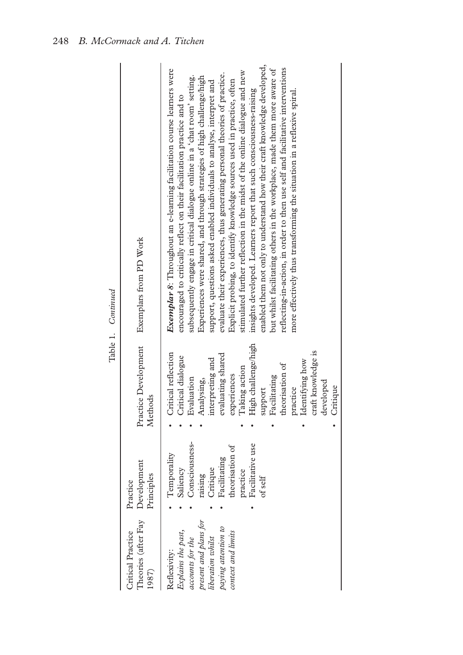|                                                                                                                                                   |                                                                                                                                               |                                                                                                                                                                                                                                                                                                  | LaDIE 1. Continued                                                                                                                                                                                                                                                                                                                                                                                                                                                                                                                                                                                                                                                                                                                                                                                                                                                                                                                                                                                                  |
|---------------------------------------------------------------------------------------------------------------------------------------------------|-----------------------------------------------------------------------------------------------------------------------------------------------|--------------------------------------------------------------------------------------------------------------------------------------------------------------------------------------------------------------------------------------------------------------------------------------------------|---------------------------------------------------------------------------------------------------------------------------------------------------------------------------------------------------------------------------------------------------------------------------------------------------------------------------------------------------------------------------------------------------------------------------------------------------------------------------------------------------------------------------------------------------------------------------------------------------------------------------------------------------------------------------------------------------------------------------------------------------------------------------------------------------------------------------------------------------------------------------------------------------------------------------------------------------------------------------------------------------------------------|
| Theories (after Fay<br><b>Critical Practice</b><br>1987)                                                                                          | Development<br>Principles<br>Practice                                                                                                         | Practice Development<br>Methods                                                                                                                                                                                                                                                                  | Exemplars from PD Work                                                                                                                                                                                                                                                                                                                                                                                                                                                                                                                                                                                                                                                                                                                                                                                                                                                                                                                                                                                              |
| present and plans for<br>paying attention to<br>Explains the past,<br>context and limits<br>liberation whilst<br>accounts for the<br>Reflexivity: | Consciousness-<br>Facilitative use<br>theorisation of<br>Temporality<br>Facilitating<br>Critique<br>Saliency<br>practice<br>raising<br>ofself | High challenge/high<br>craft knowledge is<br>Critical reflection<br>evaluating shared<br>Critical dialogue<br>interpreting and<br>practice<br>Identifying how<br>theorisation of<br>Taking action<br>experiences<br>Facilitating<br>Evaluation<br>Analysing,<br>developed<br>Critique<br>support | enabled them not only to understand how their craft knowledge developed,<br>reflecting-in-action, in order to then use self and facilitative interventions<br>but whilst facilitating others in the workplace, made them more aware of<br>Exemplar 8: Throughout an e-learning facilitation course learners were<br>stimulated further reflection in the midst of the online dialogue and new<br>evaluate their experiences, thus generating personal theories of practice.<br>subsequently engage in critical dialogue online in a 'chat room' setting.<br>Experiences were shared, and through strategies of high challenge/high<br>Explicit probing, to identify knowledge sources used in practice, often<br>support, questions asked enabled individuals to analyse, interpret and<br>more effectively thus transforming the situation in a reflexive spiral.<br>insights developed. Learners report that such consciousness-raising<br>encouraged to critically reflect on their facilitation practice and to |

Table 1. Continued Table 1. *Continued*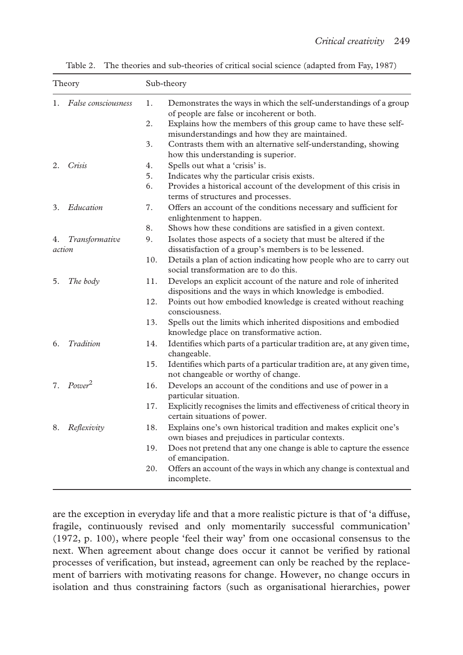|              | Theory              |          | Sub-theory                                                                                                                                                                                                                           |
|--------------|---------------------|----------|--------------------------------------------------------------------------------------------------------------------------------------------------------------------------------------------------------------------------------------|
| 1.           | False consciousness | 1.<br>2. | Demonstrates the ways in which the self-understandings of a group<br>of people are false or incoherent or both.<br>Explains how the members of this group came to have these self-<br>misunderstandings and how they are maintained. |
|              |                     | 3.       | Contrasts them with an alternative self-understanding, showing<br>how this understanding is superior.                                                                                                                                |
| 2.           | Crisis              | 4.       | Spells out what a 'crisis' is.                                                                                                                                                                                                       |
|              |                     | 5.       | Indicates why the particular crisis exists.                                                                                                                                                                                          |
|              |                     | 6.       | Provides a historical account of the development of this crisis in<br>terms of structures and processes.                                                                                                                             |
| 3.           | Education           | 7.       | Offers an account of the conditions necessary and sufficient for<br>enlightenment to happen.                                                                                                                                         |
|              |                     | 8.       | Shows how these conditions are satisfied in a given context.                                                                                                                                                                         |
| 4.<br>action | Transformative      | 9.       | Isolates those aspects of a society that must be altered if the<br>dissatisfaction of a group's members is to be lessened.                                                                                                           |
|              |                     | 10.      | Details a plan of action indicating how people who are to carry out<br>social transformation are to do this.                                                                                                                         |
| 5.           | The body            | 11.      | Develops an explicit account of the nature and role of inherited<br>dispositions and the ways in which knowledge is embodied.                                                                                                        |
|              |                     | 12.      | Points out how embodied knowledge is created without reaching<br>consciousness.                                                                                                                                                      |
|              |                     | 13.      | Spells out the limits which inherited dispositions and embodied<br>knowledge place on transformative action.                                                                                                                         |
| 6.           | Tradition           | 14.      | Identifies which parts of a particular tradition are, at any given time,<br>changeable.                                                                                                                                              |
|              |                     | 15.      | Identifies which parts of a particular tradition are, at any given time,<br>not changeable or worthy of change.                                                                                                                      |
| 7.           | Power <sup>2</sup>  | 16.      | Develops an account of the conditions and use of power in a<br>particular situation.                                                                                                                                                 |
|              |                     | 17.      | Explicitly recognises the limits and effectiveness of critical theory in<br>certain situations of power.                                                                                                                             |
| 8.           | Reflexivity         | 18.      | Explains one's own historical tradition and makes explicit one's<br>own biases and prejudices in particular contexts.                                                                                                                |
|              |                     | 19.      | Does not pretend that any one change is able to capture the essence<br>of emancipation.                                                                                                                                              |
|              |                     | 20.      | Offers an account of the ways in which any change is contextual and<br>incomplete.                                                                                                                                                   |

Table 2. The theories and sub-theories of critical social science (adapted from Fay, 1987)

are the exception in everyday life and that a more realistic picture is that of 'a diffuse, fragile, continuously revised and only momentarily successful communication' (1972, p. 100), where people 'feel their way' from one occasional consensus to the next. When agreement about change does occur it cannot be verified by rational processes of verification, but instead, agreement can only be reached by the replacement of barriers with motivating reasons for change. However, no change occurs in isolation and thus constraining factors (such as organisational hierarchies, power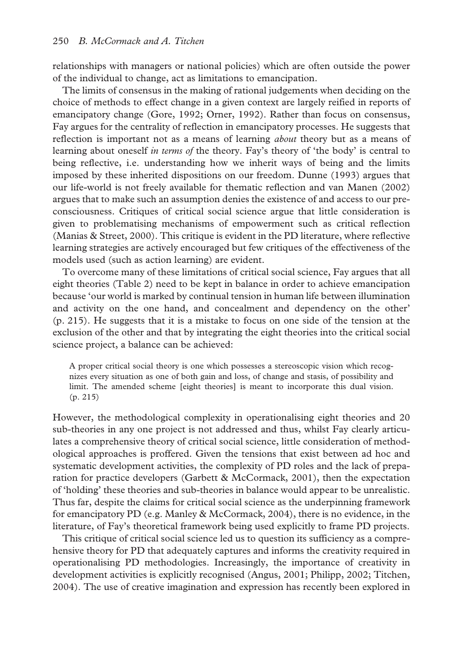relationships with managers or national policies) which are often outside the power of the individual to change, act as limitations to emancipation.

The limits of consensus in the making of rational judgements when deciding on the choice of methods to effect change in a given context are largely reified in reports of emancipatory change (Gore, 1992; Orner, 1992). Rather than focus on consensus, Fay argues for the centrality of reflection in emancipatory processes. He suggests that reflection is important not as a means of learning *about* theory but as a means of learning about oneself *in terms of* the theory. Fay's theory of 'the body' is central to being reflective, i.e. understanding how we inherit ways of being and the limits imposed by these inherited dispositions on our freedom. Dunne (1993) argues that our life-world is not freely available for thematic reflection and van Manen (2002) argues that to make such an assumption denies the existence of and access to our preconsciousness. Critiques of critical social science argue that little consideration is given to problematising mechanisms of empowerment such as critical reflection (Manias & Street, 2000). This critique is evident in the PD literature, where reflective learning strategies are actively encouraged but few critiques of the effectiveness of the models used (such as action learning) are evident.

To overcome many of these limitations of critical social science, Fay argues that all eight theories (Table 2) need to be kept in balance in order to achieve emancipation because 'our world is marked by continual tension in human life between illumination and activity on the one hand, and concealment and dependency on the other' (p. 215). He suggests that it is a mistake to focus on one side of the tension at the exclusion of the other and that by integrating the eight theories into the critical social science project, a balance can be achieved:

A proper critical social theory is one which possesses a stereoscopic vision which recognizes every situation as one of both gain and loss, of change and stasis, of possibility and limit. The amended scheme [eight theories] is meant to incorporate this dual vision. (p. 215)

However, the methodological complexity in operationalising eight theories and 20 sub-theories in any one project is not addressed and thus, whilst Fay clearly articulates a comprehensive theory of critical social science, little consideration of methodological approaches is proffered. Given the tensions that exist between ad hoc and systematic development activities, the complexity of PD roles and the lack of preparation for practice developers (Garbett & McCormack, 2001), then the expectation of 'holding' these theories and sub-theories in balance would appear to be unrealistic. Thus far, despite the claims for critical social science as the underpinning framework for emancipatory PD (e.g. Manley & McCormack, 2004), there is no evidence, in the literature, of Fay's theoretical framework being used explicitly to frame PD projects.

This critique of critical social science led us to question its sufficiency as a comprehensive theory for PD that adequately captures and informs the creativity required in operationalising PD methodologies. Increasingly, the importance of creativity in development activities is explicitly recognised (Angus, 2001; Philipp, 2002; Titchen, 2004). The use of creative imagination and expression has recently been explored in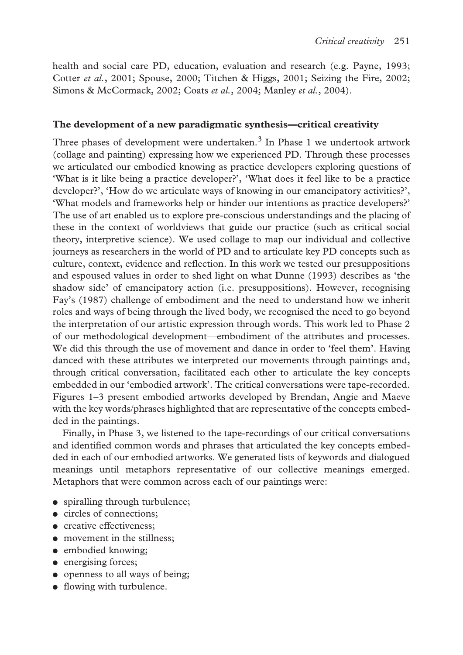health and social care PD, education, evaluation and research (e.g. Payne, 1993; Cotter *et al.*, 2001; Spouse, 2000; Titchen & Higgs, 2001; Seizing the Fire, 2002; Simons & McCormack, 2002; Coats *et al.*, 2004; Manley *et al.*, 2004).

# **The development of a new paradigmatic synthesis—critical creativity**

Three phases of development were undertaken.<sup>3</sup> In Phase 1 we undertook artwork (collage and painting) expressing how we experienced PD. Through these processes we articulated our embodied knowing as practice developers exploring questions of 'What is it like being a practice developer?', 'What does it feel like to be a practice developer?', 'How do we articulate ways of knowing in our emancipatory activities?', 'What models and frameworks help or hinder our intentions as practice developers?' The use of art enabled us to explore pre-conscious understandings and the placing of these in the context of worldviews that guide our practice (such as critical social theory, interpretive science). We used collage to map our individual and collective journeys as researchers in the world of PD and to articulate key PD concepts such as culture, context, evidence and reflection. In this work we tested our presuppositions and espoused values in order to shed light on what Dunne (1993) describes as 'the shadow side' of emancipatory action (i.e. presuppositions). However, recognising Fay's (1987) challenge of embodiment and the need to understand how we inherit roles and ways of being through the lived body, we recognised the need to go beyond the interpretation of our artistic expression through words. This work led to Phase 2 of our methodological development—embodiment of the attributes and processes. We did this through the use of movement and dance in order to 'feel them'. Having danced with these attributes we interpreted our movements through paintings and, through critical conversation, facilitated each other to articulate the key concepts embedded in our 'embodied artwork'. The critical conversations were tape-recorded. Figures 1–3 present embodied artworks developed by Brendan, Angie and Maeve with the key words/phrases highlighted that are representative of the concepts embedded in the paintings.

Finally, in Phase 3, we listened to the tape-recordings of our critical conversations and identified common words and phrases that articulated the key concepts embedded in each of our embodied artworks. We generated lists of keywords and dialogued meanings until metaphors representative of our collective meanings emerged. Metaphors that were common across each of our paintings were:

- spiralling through turbulence;
- circles of connections;
- creative effectiveness;
- movement in the stillness;
- embodied knowing;
- energising forces;
- openness to all ways of being;
- flowing with turbulence.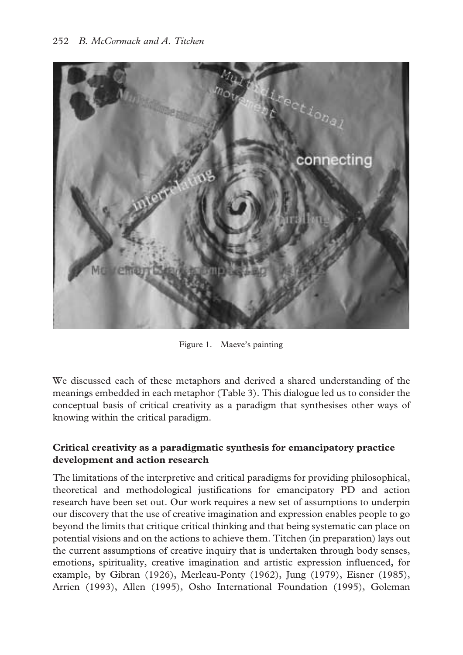

Figure 1. Maeve's painting

We discussed each of these metaphors and derived a shared understanding of the meanings embedded in each metaphor (Table 3). This dialogue led us to consider the conceptual basis of critical creativity as a paradigm that synthesises other ways of knowing within the critical paradigm.

# **Critical creativity as a paradigmatic synthesis for emancipatory practice development and action research**

The limitations of the interpretive and critical paradigms for providing philosophical, theoretical and methodological justifications for emancipatory PD and action research have been set out. Our work requires a new set of assumptions to underpin our discovery that the use of creative imagination and expression enables people to go beyond the limits that critique critical thinking and that being systematic can place on potential visions and on the actions to achieve them. Titchen (in preparation) lays out the current assumptions of creative inquiry that is undertaken through body senses, emotions, spirituality, creative imagination and artistic expression influenced, for example, by Gibran (1926), Merleau-Ponty (1962), Jung (1979), Eisner (1985), Arrien (1993), Allen (1995), Osho International Foundation (1995), Goleman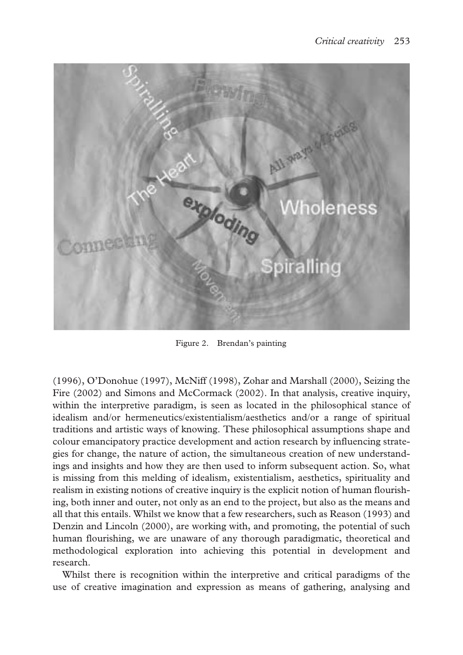

Figure 2. Brendan's painting

(1996), O'Donohue (1997), McNiff (1998), Zohar and Marshall (2000), Seizing the Fire (2002) and Simons and McCormack (2002). In that analysis, creative inquiry, within the interpretive paradigm, is seen as located in the philosophical stance of idealism and/or hermeneutics/existentialism/aesthetics and/or a range of spiritual traditions and artistic ways of knowing. These philosophical assumptions shape and colour emancipatory practice development and action research by influencing strategies for change, the nature of action, the simultaneous creation of new understandings and insights and how they are then used to inform subsequent action. So, what is missing from this melding of idealism, existentialism, aesthetics, spirituality and realism in existing notions of creative inquiry is the explicit notion of human flourishing, both inner and outer, not only as an end to the project, but also as the means and all that this entails. Whilst we know that a few researchers, such as Reason (1993) and Denzin and Lincoln (2000), are working with, and promoting, the potential of such human flourishing, we are unaware of any thorough paradigmatic, theoretical and methodological exploration into achieving this potential in development and research.

Whilst there is recognition within the interpretive and critical paradigms of the use of creative imagination and expression as means of gathering, analysing and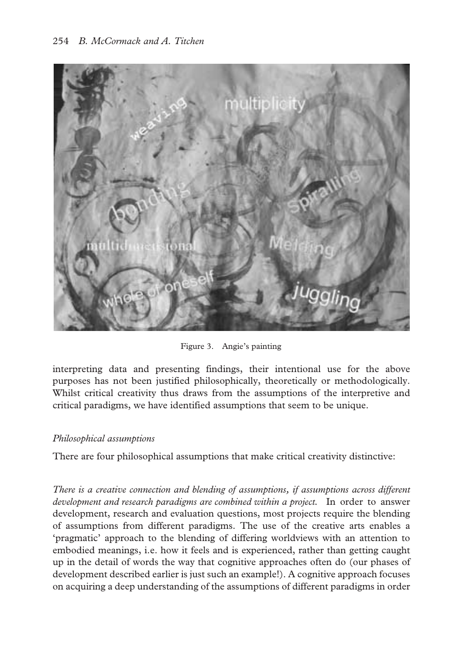

Figure 3. Angie's painting

interpreting data and presenting findings, their intentional use for the above purposes has not been justified philosophically, theoretically or methodologically. Whilst critical creativity thus draws from the assumptions of the interpretive and critical paradigms, we have identified assumptions that seem to be unique.

## *Philosophical assumptions*

There are four philosophical assumptions that make critical creativity distinctive:

*There is a creative connection and blending of assumptions, if assumptions across different development and research paradigms are combined within a project.* In order to answer development, research and evaluation questions, most projects require the blending of assumptions from different paradigms. The use of the creative arts enables a 'pragmatic' approach to the blending of differing worldviews with an attention to embodied meanings, i.e. how it feels and is experienced, rather than getting caught up in the detail of words the way that cognitive approaches often do (our phases of development described earlier is just such an example!). A cognitive approach focuses on acquiring a deep understanding of the assumptions of different paradigms in order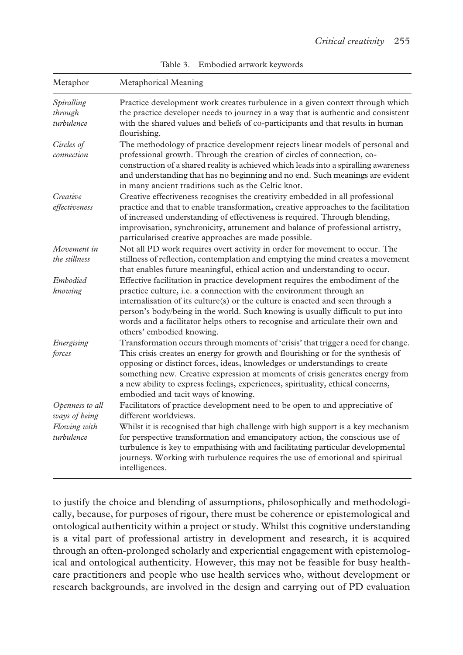| Metaphor                                                       | <b>Metaphorical Meaning</b>                                                                                                                                                                                                                                                                                                                                                                                                                                    |
|----------------------------------------------------------------|----------------------------------------------------------------------------------------------------------------------------------------------------------------------------------------------------------------------------------------------------------------------------------------------------------------------------------------------------------------------------------------------------------------------------------------------------------------|
| Spiralling<br>through<br>turbulence                            | Practice development work creates turbulence in a given context through which<br>the practice developer needs to journey in a way that is authentic and consistent<br>with the shared values and beliefs of co-participants and that results in human<br>flourishing.                                                                                                                                                                                          |
| Circles of<br>connection                                       | The methodology of practice development rejects linear models of personal and<br>professional growth. Through the creation of circles of connection, co-<br>construction of a shared reality is achieved which leads into a spiralling awareness<br>and understanding that has no beginning and no end. Such meanings are evident<br>in many ancient traditions such as the Celtic knot.                                                                       |
| Creative<br>effectiveness                                      | Creative effectiveness recognises the creativity embedded in all professional<br>practice and that to enable transformation, creative approaches to the facilitation<br>of increased understanding of effectiveness is required. Through blending,<br>improvisation, synchronicity, attunement and balance of professional artistry,<br>particularised creative approaches are made possible.                                                                  |
| Movement in<br>the stillness                                   | Not all PD work requires overt activity in order for movement to occur. The<br>stillness of reflection, contemplation and emptying the mind creates a movement<br>that enables future meaningful, ethical action and understanding to occur.                                                                                                                                                                                                                   |
| <i>Embodied</i><br>knowing                                     | Effective facilitation in practice development requires the embodiment of the<br>practice culture, i.e. a connection with the environment through an<br>internalisation of its culture(s) or the culture is enacted and seen through a<br>person's body/being in the world. Such knowing is usually difficult to put into<br>words and a facilitator helps others to recognise and articulate their own and<br>others' embodied knowing.                       |
| Energising<br>forces                                           | Transformation occurs through moments of 'crisis' that trigger a need for change.<br>This crisis creates an energy for growth and flourishing or for the synthesis of<br>opposing or distinct forces, ideas, knowledges or understandings to create<br>something new. Creative expression at moments of crisis generates energy from<br>a new ability to express feelings, experiences, spirituality, ethical concerns,<br>embodied and tacit ways of knowing. |
| Openness to all<br>ways of being<br>Flowing with<br>turbulence | Facilitators of practice development need to be open to and appreciative of<br>different worldviews.<br>Whilst it is recognised that high challenge with high support is a key mechanism<br>for perspective transformation and emancipatory action, the conscious use of<br>turbulence is key to empathising with and facilitating particular developmental<br>journeys. Working with turbulence requires the use of emotional and spiritual<br>intelligences. |

Table 3. Embodied artwork keywords

to justify the choice and blending of assumptions, philosophically and methodologically, because, for purposes of rigour, there must be coherence or epistemological and ontological authenticity within a project or study. Whilst this cognitive understanding is a vital part of professional artistry in development and research, it is acquired through an often-prolonged scholarly and experiential engagement with epistemological and ontological authenticity. However, this may not be feasible for busy healthcare practitioners and people who use health services who, without development or research backgrounds, are involved in the design and carrying out of PD evaluation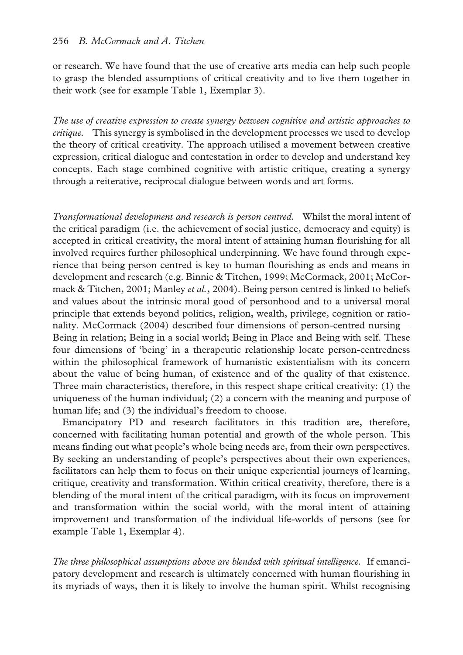or research. We have found that the use of creative arts media can help such people to grasp the blended assumptions of critical creativity and to live them together in their work (see for example Table 1, Exemplar 3).

*The use of creative expression to create synergy between cognitive and artistic approaches to critique.* This synergy is symbolised in the development processes we used to develop the theory of critical creativity. The approach utilised a movement between creative expression, critical dialogue and contestation in order to develop and understand key concepts. Each stage combined cognitive with artistic critique, creating a synergy through a reiterative, reciprocal dialogue between words and art forms.

*Transformational development and research is person centred.* Whilst the moral intent of the critical paradigm (i.e. the achievement of social justice, democracy and equity) is accepted in critical creativity, the moral intent of attaining human flourishing for all involved requires further philosophical underpinning. We have found through experience that being person centred is key to human flourishing as ends and means in development and research (e.g. Binnie & Titchen, 1999; McCormack, 2001; McCormack & Titchen, 2001; Manley *et al.*, 2004). Being person centred is linked to beliefs and values about the intrinsic moral good of personhood and to a universal moral principle that extends beyond politics, religion, wealth, privilege, cognition or rationality. McCormack (2004) described four dimensions of person-centred nursing— Being in relation; Being in a social world; Being in Place and Being with self. These four dimensions of 'being' in a therapeutic relationship locate person-centredness within the philosophical framework of humanistic existentialism with its concern about the value of being human, of existence and of the quality of that existence. Three main characteristics, therefore, in this respect shape critical creativity: (1) the uniqueness of the human individual; (2) a concern with the meaning and purpose of human life; and (3) the individual's freedom to choose.

Emancipatory PD and research facilitators in this tradition are, therefore, concerned with facilitating human potential and growth of the whole person. This means finding out what people's whole being needs are, from their own perspectives. By seeking an understanding of people's perspectives about their own experiences, facilitators can help them to focus on their unique experiential journeys of learning, critique, creativity and transformation. Within critical creativity, therefore, there is a blending of the moral intent of the critical paradigm, with its focus on improvement and transformation within the social world, with the moral intent of attaining improvement and transformation of the individual life-worlds of persons (see for example Table 1, Exemplar 4).

*The three philosophical assumptions above are blended with spiritual intelligence.* If emancipatory development and research is ultimately concerned with human flourishing in its myriads of ways, then it is likely to involve the human spirit. Whilst recognising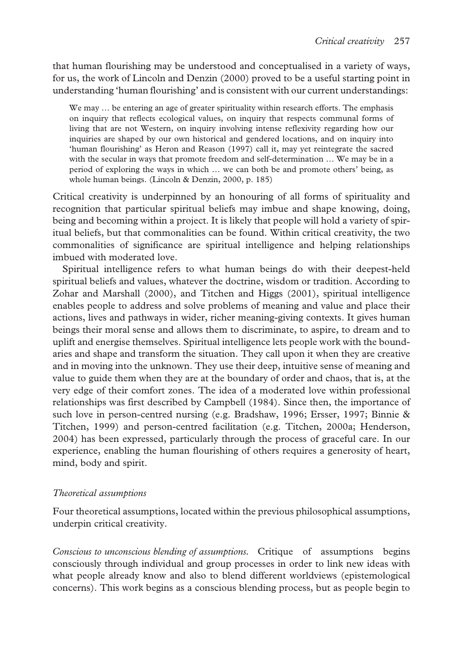that human flourishing may be understood and conceptualised in a variety of ways, for us, the work of Lincoln and Denzin (2000) proved to be a useful starting point in understanding 'human flourishing' and is consistent with our current understandings:

We may ... be entering an age of greater spirituality within research efforts. The emphasis on inquiry that reflects ecological values, on inquiry that respects communal forms of living that are not Western, on inquiry involving intense reflexivity regarding how our inquiries are shaped by our own historical and gendered locations, and on inquiry into 'human flourishing' as Heron and Reason (1997) call it, may yet reintegrate the sacred with the secular in ways that promote freedom and self-determination … We may be in a period of exploring the ways in which … we can both be and promote others' being, as whole human beings. (Lincoln & Denzin, 2000, p. 185)

Critical creativity is underpinned by an honouring of all forms of spirituality and recognition that particular spiritual beliefs may imbue and shape knowing, doing, being and becoming within a project. It is likely that people will hold a variety of spiritual beliefs, but that commonalities can be found. Within critical creativity, the two commonalities of significance are spiritual intelligence and helping relationships imbued with moderated love.

Spiritual intelligence refers to what human beings do with their deepest-held spiritual beliefs and values, whatever the doctrine, wisdom or tradition. According to Zohar and Marshall (2000), and Titchen and Higgs (2001), spiritual intelligence enables people to address and solve problems of meaning and value and place their actions, lives and pathways in wider, richer meaning-giving contexts. It gives human beings their moral sense and allows them to discriminate, to aspire, to dream and to uplift and energise themselves. Spiritual intelligence lets people work with the boundaries and shape and transform the situation. They call upon it when they are creative and in moving into the unknown. They use their deep, intuitive sense of meaning and value to guide them when they are at the boundary of order and chaos, that is, at the very edge of their comfort zones. The idea of a moderated love within professional relationships was first described by Campbell (1984). Since then, the importance of such love in person-centred nursing (e.g. Bradshaw, 1996; Ersser, 1997; Binnie & Titchen, 1999) and person-centred facilitation (e.g. Titchen, 2000a; Henderson, 2004) has been expressed, particularly through the process of graceful care. In our experience, enabling the human flourishing of others requires a generosity of heart, mind, body and spirit.

## *Theoretical assumptions*

Four theoretical assumptions, located within the previous philosophical assumptions, underpin critical creativity.

*Conscious to unconscious blending of assumptions.* Critique of assumptions begins consciously through individual and group processes in order to link new ideas with what people already know and also to blend different worldviews (epistemological concerns). This work begins as a conscious blending process, but as people begin to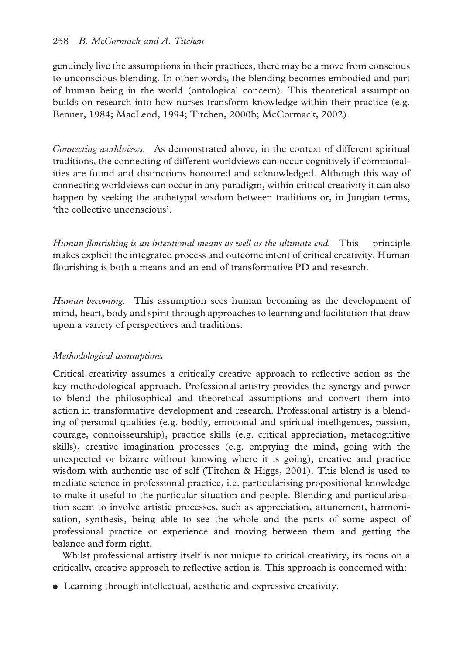## 258 *B. McCormack and A. Titchen*

genuinely live the assumptions in their practices, there may be a move from conscious to unconscious blending. In other words, the blending becomes embodied and part of human being in the world (ontological concern). This theoretical assumption builds on research into how nurses transform knowledge within their practice (e.g. Benner, 1984; MacLeod, 1994; Titchen, 2000b; McCormack, 2002).

*Connecting worldviews.* As demonstrated above, in the context of different spiritual traditions, the connecting of different worldviews can occur cognitively if commonalities are found and distinctions honoured and acknowledged. Although this way of connecting worldviews can occur in any paradigm, within critical creativity it can also happen by seeking the archetypal wisdom between traditions or, in Jungian terms, 'the collective unconscious'.

*Human flourishing is an intentional means as well as the ultimate end.* This principle makes explicit the integrated process and outcome intent of critical creativity. Human flourishing is both a means and an end of transformative PD and research.

*Human becoming.* This assumption sees human becoming as the development of mind, heart, body and spirit through approaches to learning and facilitation that draw upon a variety of perspectives and traditions.

# *Methodological assumptions*

Critical creativity assumes a critically creative approach to reflective action as the key methodological approach. Professional artistry provides the synergy and power to blend the philosophical and theoretical assumptions and convert them into action in transformative development and research. Professional artistry is a blending of personal qualities (e.g. bodily, emotional and spiritual intelligences, passion, courage, connoisseurship), practice skills (e.g. critical appreciation, metacognitive skills), creative imagination processes (e.g. emptying the mind, going with the unexpected or bizarre without knowing where it is going), creative and practice wisdom with authentic use of self (Titchen & Higgs, 2001). This blend is used to mediate science in professional practice, i.e. particularising propositional knowledge to make it useful to the particular situation and people. Blending and particularisation seem to involve artistic processes, such as appreciation, attunement, harmonisation, synthesis, being able to see the whole and the parts of some aspect of professional practice or experience and moving between them and getting the balance and form right.

Whilst professional artistry itself is not unique to critical creativity, its focus on a critically, creative approach to reflective action is. This approach is concerned with:

● Learning through intellectual, aesthetic and expressive creativity.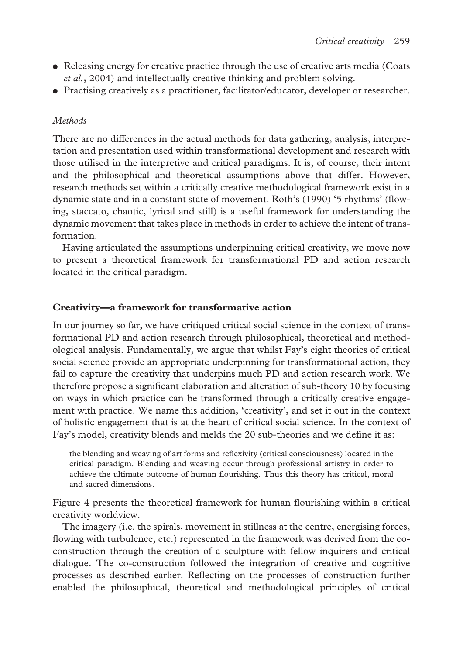- Releasing energy for creative practice through the use of creative arts media (Coats *et al.*, 2004) and intellectually creative thinking and problem solving.
- Practising creatively as a practitioner, facilitator/educator, developer or researcher.

# *Methods*

There are no differences in the actual methods for data gathering, analysis, interpretation and presentation used within transformational development and research with those utilised in the interpretive and critical paradigms. It is, of course, their intent and the philosophical and theoretical assumptions above that differ. However, research methods set within a critically creative methodological framework exist in a dynamic state and in a constant state of movement. Roth's (1990) '5 rhythms' (flowing, staccato, chaotic, lyrical and still) is a useful framework for understanding the dynamic movement that takes place in methods in order to achieve the intent of transformation.

Having articulated the assumptions underpinning critical creativity, we move now to present a theoretical framework for transformational PD and action research located in the critical paradigm.

## **Creativity—a framework for transformative action**

In our journey so far, we have critiqued critical social science in the context of transformational PD and action research through philosophical, theoretical and methodological analysis. Fundamentally, we argue that whilst Fay's eight theories of critical social science provide an appropriate underpinning for transformational action, they fail to capture the creativity that underpins much PD and action research work. We therefore propose a significant elaboration and alteration of sub-theory 10 by focusing on ways in which practice can be transformed through a critically creative engagement with practice. We name this addition, 'creativity', and set it out in the context of holistic engagement that is at the heart of critical social science. In the context of Fay's model, creativity blends and melds the 20 sub-theories and we define it as:

the blending and weaving of art forms and reflexivity (critical consciousness) located in the critical paradigm. Blending and weaving occur through professional artistry in order to achieve the ultimate outcome of human flourishing. Thus this theory has critical, moral and sacred dimensions.

Figure 4 presents the theoretical framework for human flourishing within a critical creativity worldview.

The imagery (i.e. the spirals, movement in stillness at the centre, energising forces, flowing with turbulence, etc.) represented in the framework was derived from the coconstruction through the creation of a sculpture with fellow inquirers and critical dialogue. The co-construction followed the integration of creative and cognitive processes as described earlier. Reflecting on the processes of construction further enabled the philosophical, theoretical and methodological principles of critical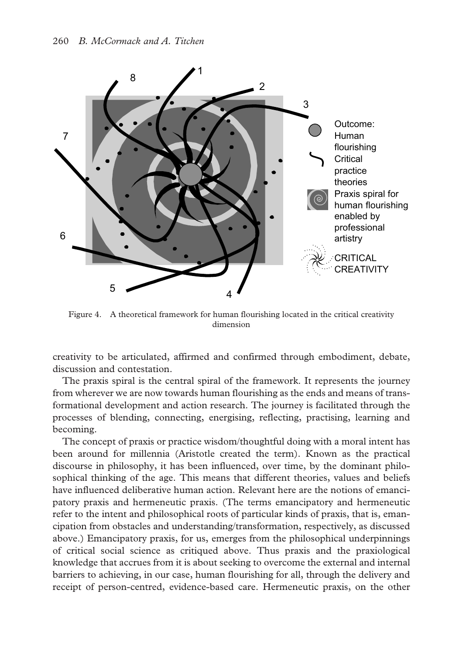

Figure 4. A theoretical framework for human flourishing located in the critical creativity dimension

creativity to be articulated, affirmed and confirmed through embodiment, debate, discussion and contestation.

The praxis spiral is the central spiral of the framework. It represents the journey from wherever we are now towards human flourishing as the ends and means of transformational development and action research. The journey is facilitated through the processes of blending, connecting, energising, reflecting, practising, learning and becoming.

The concept of praxis or practice wisdom/thoughtful doing with a moral intent has been around for millennia (Aristotle created the term). Known as the practical discourse in philosophy, it has been influenced, over time, by the dominant philosophical thinking of the age. This means that different theories, values and beliefs have influenced deliberative human action. Relevant here are the notions of emancipatory praxis and hermeneutic praxis. (The terms emancipatory and hermeneutic refer to the intent and philosophical roots of particular kinds of praxis, that is, emancipation from obstacles and understanding/transformation, respectively, as discussed above.) Emancipatory praxis, for us, emerges from the philosophical underpinnings of critical social science as critiqued above. Thus praxis and the praxiological knowledge that accrues from it is about seeking to overcome the external and internal barriers to achieving, in our case, human flourishing for all, through the delivery and receipt of person-centred, evidence-based care. Hermeneutic praxis, on the other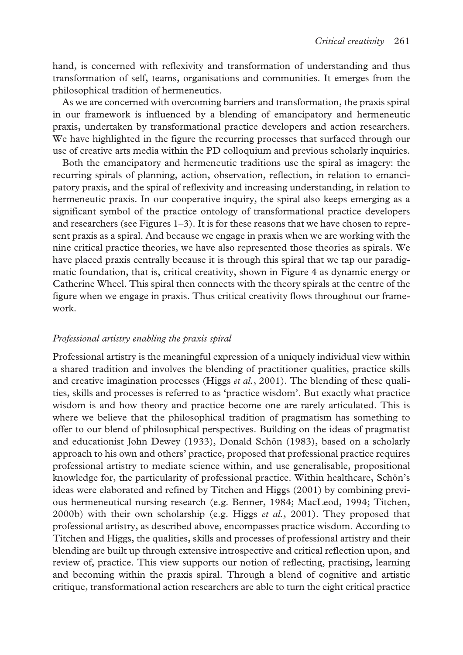hand, is concerned with reflexivity and transformation of understanding and thus transformation of self, teams, organisations and communities. It emerges from the philosophical tradition of hermeneutics.

As we are concerned with overcoming barriers and transformation, the praxis spiral in our framework is influenced by a blending of emancipatory and hermeneutic praxis, undertaken by transformational practice developers and action researchers. We have highlighted in the figure the recurring processes that surfaced through our use of creative arts media within the PD colloquium and previous scholarly inquiries.

Both the emancipatory and hermeneutic traditions use the spiral as imagery: the recurring spirals of planning, action, observation, reflection, in relation to emancipatory praxis, and the spiral of reflexivity and increasing understanding, in relation to hermeneutic praxis. In our cooperative inquiry, the spiral also keeps emerging as a significant symbol of the practice ontology of transformational practice developers and researchers (see Figures 1–3). It is for these reasons that we have chosen to represent praxis as a spiral. And because we engage in praxis when we are working with the nine critical practice theories, we have also represented those theories as spirals. We have placed praxis centrally because it is through this spiral that we tap our paradigmatic foundation, that is, critical creativity, shown in Figure 4 as dynamic energy or Catherine Wheel. This spiral then connects with the theory spirals at the centre of the figure when we engage in praxis. Thus critical creativity flows throughout our framework.

## *Professional artistry enabling the praxis spiral*

Professional artistry is the meaningful expression of a uniquely individual view within a shared tradition and involves the blending of practitioner qualities, practice skills and creative imagination processes (Higgs *et al.*, 2001). The blending of these qualities, skills and processes is referred to as 'practice wisdom'. But exactly what practice wisdom is and how theory and practice become one are rarely articulated. This is where we believe that the philosophical tradition of pragmatism has something to offer to our blend of philosophical perspectives. Building on the ideas of pragmatist and educationist John Dewey (1933), Donald Schön (1983), based on a scholarly approach to his own and others' practice, proposed that professional practice requires professional artistry to mediate science within, and use generalisable, propositional knowledge for, the particularity of professional practice. Within healthcare, Schön's ideas were elaborated and refined by Titchen and Higgs (2001) by combining previous hermeneutical nursing research (e.g. Benner, 1984; MacLeod, 1994; Titchen, 2000b) with their own scholarship (e.g. Higgs *et al.*, 2001). They proposed that professional artistry, as described above, encompasses practice wisdom. According to Titchen and Higgs, the qualities, skills and processes of professional artistry and their blending are built up through extensive introspective and critical reflection upon, and review of, practice. This view supports our notion of reflecting, practising, learning and becoming within the praxis spiral. Through a blend of cognitive and artistic critique, transformational action researchers are able to turn the eight critical practice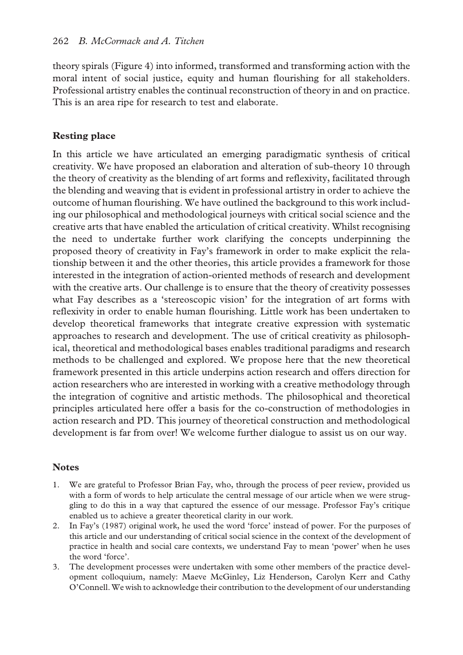theory spirals (Figure 4) into informed, transformed and transforming action with the moral intent of social justice, equity and human flourishing for all stakeholders. Professional artistry enables the continual reconstruction of theory in and on practice. This is an area ripe for research to test and elaborate.

## **Resting place**

In this article we have articulated an emerging paradigmatic synthesis of critical creativity. We have proposed an elaboration and alteration of sub-theory 10 through the theory of creativity as the blending of art forms and reflexivity, facilitated through the blending and weaving that is evident in professional artistry in order to achieve the outcome of human flourishing. We have outlined the background to this work including our philosophical and methodological journeys with critical social science and the creative arts that have enabled the articulation of critical creativity. Whilst recognising the need to undertake further work clarifying the concepts underpinning the proposed theory of creativity in Fay's framework in order to make explicit the relationship between it and the other theories, this article provides a framework for those interested in the integration of action-oriented methods of research and development with the creative arts. Our challenge is to ensure that the theory of creativity possesses what Fay describes as a 'stereoscopic vision' for the integration of art forms with reflexivity in order to enable human flourishing. Little work has been undertaken to develop theoretical frameworks that integrate creative expression with systematic approaches to research and development. The use of critical creativity as philosophical, theoretical and methodological bases enables traditional paradigms and research methods to be challenged and explored. We propose here that the new theoretical framework presented in this article underpins action research and offers direction for action researchers who are interested in working with a creative methodology through the integration of cognitive and artistic methods. The philosophical and theoretical principles articulated here offer a basis for the co-construction of methodologies in action research and PD. This journey of theoretical construction and methodological development is far from over! We welcome further dialogue to assist us on our way.

## **Notes**

- 1. We are grateful to Professor Brian Fay, who, through the process of peer review, provided us with a form of words to help articulate the central message of our article when we were struggling to do this in a way that captured the essence of our message. Professor Fay's critique enabled us to achieve a greater theoretical clarity in our work.
- 2. In Fay's (1987) original work, he used the word 'force' instead of power. For the purposes of this article and our understanding of critical social science in the context of the development of practice in health and social care contexts, we understand Fay to mean 'power' when he uses the word 'force'.
- 3. The development processes were undertaken with some other members of the practice development colloquium, namely: Maeve McGinley, Liz Henderson, Carolyn Kerr and Cathy O'Connell. We wish to acknowledge their contribution to the development of our understanding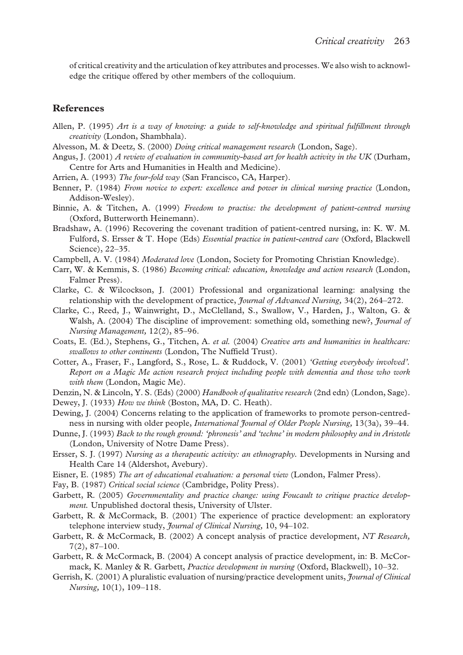of critical creativity and the articulation of key attributes and processes. We also wish to acknowledge the critique offered by other members of the colloquium.

#### **References**

- Allen, P. (1995) *Art is a way of knowing: a guide to self-knowledge and spiritual fulfillment through creativity* (London, Shambhala).
- Alvesson, M. & Deetz, S. (2000) *Doing critical management research* (London, Sage).
- Angus, J. (2001) *A review of evaluation in community-based art for health activity in the UK* (Durham, Centre for Arts and Humanities in Health and Medicine).
- Arrien, A. (1993) *The four-fold way* (San Francisco, CA, Harper).
- Benner, P. (1984) *From novice to expert: excellence and power in clinical nursing practice* (London, Addison-Wesley).
- Binnie, A. & Titchen, A. (1999) *Freedom to practise: the development of patient-centred nursing* (Oxford, Butterworth Heinemann).
- Bradshaw, A. (1996) Recovering the covenant tradition of patient-centred nursing, in: K. W. M. Fulford, S. Ersser & T. Hope (Eds) *Essential practice in patient-centred care* (Oxford, Blackwell Science), 22–35.
- Campbell, A. V. (1984) *Moderated love* (London, Society for Promoting Christian Knowledge).
- Carr, W. & Kemmis, S. (1986) *Becoming critical: education, knowledge and action research* (London, Falmer Press).
- Clarke, C. & Wilcockson, J. (2001) Professional and organizational learning: analysing the relationship with the development of practice, *Journal of Advanced Nursing,* 34(2), 264–272.
- Clarke, C., Reed, J., Wainwright, D., McClelland, S., Swallow, V., Harden, J., Walton, G. & Walsh, A. (2004) The discipline of improvement: something old, something new?, *Journal of Nursing Management,* 12(2), 85–96.
- Coats, E. (Ed.), Stephens, G., Titchen, A. *et al.* (2004) *Creative arts and humanities in healthcare: swallows to other continents* (London, The Nuffield Trust).
- Cotter, A., Fraser, F., Langford, S., Rose, L. & Ruddock, V. (2001) *'Getting everybody involved'. Report on a Magic Me action research project including people with dementia and those who work with them* (London, Magic Me).
- Denzin, N. & Lincoln, Y. S. (Eds) (2000) *Handbook of qualitative research* (2nd edn) (London, Sage).
- Dewey, J. (1933) *How we think* (Boston, MA, D. C. Heath).
- Dewing, J. (2004) Concerns relating to the application of frameworks to promote person-centredness in nursing with older people, *International Journal of Older People Nursing,* 13(3a), 39–44.
- Dunne, J. (1993) *Back to the rough ground: 'phronesis' and 'techne' in modern philosophy and in Aristotle* (London, University of Notre Dame Press).
- Ersser, S. J. (1997) *Nursing as a therapeutic activity: an ethnography.* Developments in Nursing and Health Care 14 (Aldershot, Avebury).
- Eisner, E. (1985) *The art of educational evaluation: a personal view* (London, Falmer Press).
- Fay, B. (1987) *Critical social science* (Cambridge, Polity Press).
- Garbett, R. (2005) *Governmentality and practice change: using Foucault to critique practice development.* Unpublished doctoral thesis, University of Ulster.
- Garbett, R. & McCormack, B. (2001) The experience of practice development: an exploratory telephone interview study, *Journal of Clinical Nursing,* 10, 94–102.
- Garbett, R. & McCormack, B. (2002) A concept analysis of practice development, *NT Research,* 7(2), 87–100.
- Garbett, R. & McCormack, B. (2004) A concept analysis of practice development, in: B. McCormack, K. Manley & R. Garbett, *Practice development in nursing* (Oxford, Blackwell), 10–32.
- Gerrish, K. (2001) A pluralistic evaluation of nursing/practice development units, *Journal of Clinical Nursing,* 10(1), 109–118.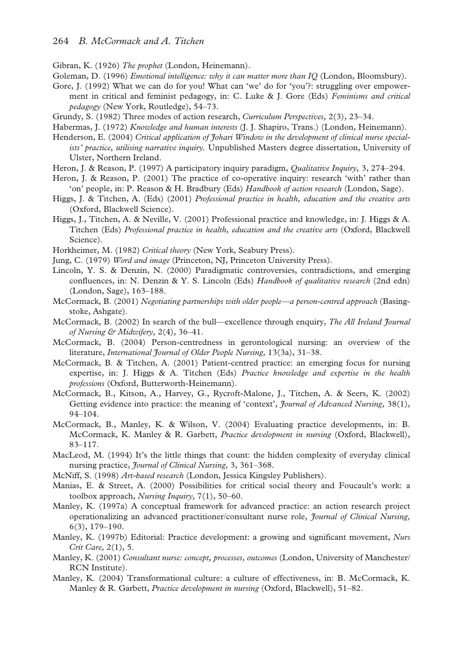Gibran, K. (1926) *The prophet* (London, Heinemann).

Goleman, D. (1996) *Emotional intelligence: why it can matter more than IQ* (London, Bloomsbury).

- Gore, J. (1992) What we can do for you! What can 'we' do for 'you'?: struggling over empowerment in critical and feminist pedagogy, in: C. Luke & J. Gore (Eds) *Feminisms and critical pedagogy* (New York, Routledge), 54–73.
- Grundy, S. (1982) Three modes of action research, *Curriculum Perspectives,* 2(3), 23–34.
- Habermas, J. (1972) *Knowledge and human interests* (J. J. Shapiro, Trans.) (London, Heinemann).
- Henderson, E. (2004) *Critical application of Johari Window in the development of clinical nurse specialists' practice, utilising narrative inquiry.* Unpublished Masters degree dissertation, University of Ulster, Northern Ireland.
- Heron, J. & Reason, P. (1997) A participatory inquiry paradigm, *Qualitative Inquiry,* 3, 274–294.
- Heron, J. & Reason, P. (2001) The practice of co-operative inquiry: research 'with' rather than 'on' people, in: P. Reason & H. Bradbury (Eds) *Handbook of action research* (London, Sage).
- Higgs, J. & Titchen, A. (Eds) (2001) *Professional practice in health, education and the creative arts* (Oxford, Blackwell Science).
- Higgs, J., Titchen, A. & Neville, V. (2001) Professional practice and knowledge, in: J. Higgs & A. Titchen (Eds) *Professional practice in health, education and the creative arts* (Oxford, Blackwell Science).
- Horkheimer, M. (1982) *Critical theory* (New York, Seabury Press).
- Jung, C. (1979) *Word and image* (Princeton, NJ, Princeton University Press).
- Lincoln, Y. S. & Denzin, N. (2000) Paradigmatic controversies, contradictions, and emerging confluences, in: N. Denzin & Y. S. Lincoln (Eds) *Handbook of qualitative research* (2nd edn) (London, Sage), 163–188.
- McCormack, B. (2001) *Negotiating partnerships with older people—a person-centred approach* (Basingstoke, Ashgate).
- McCormack, B. (2002) In search of the bull—excellence through enquiry, *The All Ireland Journal of Nursing & Midwifery,* 2(4), 36–41.
- McCormack, B. (2004) Person-centredness in gerontological nursing: an overview of the literature, *International Journal of Older People Nursing,* 13(3a), 31–38.
- McCormack, B. & Titchen, A. (2001) Patient-centred practice: an emerging focus for nursing expertise, in: J. Higgs & A. Titchen (Eds) *Practice knowledge and expertise in the health professions* (Oxford, Butterworth-Heinemann).
- McCormack, B., Kitson, A., Harvey, G., Rycroft-Malone, J., Titchen, A. & Seers, K. (2002) Getting evidence into practice: the meaning of 'context', *Journal of Advanced Nursing,* 38(1), 94–104.
- McCormack, B., Manley, K. & Wilson, V. (2004) Evaluating practice developments, in: B. McCormack, K. Manley & R. Garbett, *Practice development in nursing* (Oxford, Blackwell), 83–117.
- MacLeod, M. (1994) It's the little things that count: the hidden complexity of everyday clinical nursing practice, *Journal of Clinical Nursing,* 3, 361–368.
- McNiff, S. (1998) *Art-based research* (London, Jessica Kingsley Publishers).
- Manias, E. & Street, A. (2000) Possibilities for critical social theory and Foucault's work: a toolbox approach, *Nursing Inquiry,* 7(1), 50–60.
- Manley, K. (1997a) A conceptual framework for advanced practice: an action research project operationalizing an advanced practitioner/consultant nurse role, *Journal of Clinical Nursing,* 6(3), 179–190.
- Manley, K. (1997b) Editorial: Practice development: a growing and significant movement, *Nurs Crit Care,* 2(1), 5.
- Manley, K. (2001) *Consultant nurse: concept, processes, outcomes* (London, University of Manchester/ RCN Institute).
- Manley, K. (2004) Transformational culture: a culture of effectiveness, in: B. McCormack, K. Manley & R. Garbett, *Practice development in nursing* (Oxford, Blackwell), 51–82.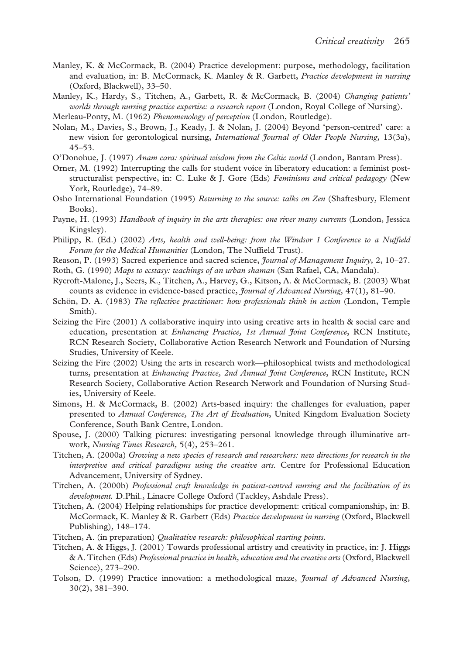- Manley, K. & McCormack, B. (2004) Practice development: purpose, methodology, facilitation and evaluation, in: B. McCormack, K. Manley & R. Garbett, *Practice development in nursing* (Oxford, Blackwell), 33–50.
- Manley, K., Hardy, S., Titchen, A., Garbett, R. & McCormack, B. (2004) *Changing patients' worlds through nursing practice expertise: a research report* (London, Royal College of Nursing).

Merleau-Ponty, M. (1962) *Phenomenology of perception* (London, Routledge).

- Nolan, M., Davies, S., Brown, J., Keady, J. & Nolan, J. (2004) Beyond 'person-centred' care: a new vision for gerontological nursing, *International Journal of Older People Nursing,* 13(3a), 45–53.
- O'Donohue, J. (1997) *Anam cara: spiritual wisdom from the Celtic world* (London, Bantam Press).
- Orner, M. (1992) Interrupting the calls for student voice in liberatory education: a feminist poststructuralist perspective, in: C. Luke & J. Gore (Eds) *Feminisms and critical pedagogy* (New York, Routledge), 74–89.
- Osho International Foundation (1995) *Returning to the source: talks on Zen* (Shaftesbury, Element Books).
- Payne, H. (1993) *Handbook of inquiry in the arts therapies: one river many currents* (London, Jessica Kingsley).
- Philipp, R. (Ed.) (2002) *Arts, health and well-being: from the Windsor 1 Conference to a Nuffield Forum for the Medical Humanities* (London, The Nuffield Trust).
- Reason, P. (1993) Sacred experience and sacred science, *Journal of Management Inquiry,* 2, 10–27.
- Roth, G. (1990) *Maps to ecstasy: teachings of an urban shaman* (San Rafael, CA, Mandala).
- Rycroft-Malone, J., Seers, K., Titchen, A., Harvey, G., Kitson, A. & McCormack, B. (2003) What counts as evidence in evidence-based practice, *Journal of Advanced Nursing,* 47(1), 81–90.
- Schön, D. A. (1983) *The reflective practitioner: how professionals think in action* (London, Temple Smith).
- Seizing the Fire (2001) A collaborative inquiry into using creative arts in health & social care and education, presentation at *Enhancing Practice, 1st Annual Joint Conference*, RCN Institute, RCN Research Society, Collaborative Action Research Network and Foundation of Nursing Studies, University of Keele.
- Seizing the Fire (2002) Using the arts in research work—philosophical twists and methodological turns, presentation at *Enhancing Practice, 2nd Annual Joint Conference*, RCN Institute, RCN Research Society, Collaborative Action Research Network and Foundation of Nursing Studies, University of Keele.
- Simons, H. & McCormack, B. (2002) Arts-based inquiry: the challenges for evaluation, paper presented to *Annual Conference, The Art of Evaluation*, United Kingdom Evaluation Society Conference, South Bank Centre, London.
- Spouse, J. (2000) Talking pictures: investigating personal knowledge through illuminative artwork, *Nursing Times Research,* 5(4), 253–261.
- Titchen, A. (2000a) *Growing a new species of research and researchers: new directions for research in the interpretive and critical paradigms using the creative arts.* Centre for Professional Education Advancement, University of Sydney.
- Titchen, A. (2000b) *Professional craft knowledge in patient-centred nursing and the facilitation of its development.* D.Phil., Linacre College Oxford (Tackley, Ashdale Press).
- Titchen, A. (2004) Helping relationships for practice development: critical companionship, in: B. McCormack, K. Manley & R. Garbett (Eds) *Practice development in nursing* (Oxford, Blackwell Publishing), 148–174.
- Titchen, A. (in preparation) *Qualitative research: philosophical starting points.*
- Titchen, A. & Higgs, J. (2001) Towards professional artistry and creativity in practice, in: J. Higgs & A. Titchen (Eds) *Professional practice in health, education and the creative arts*(Oxford, Blackwell Science), 273–290.
- Tolson, D. (1999) Practice innovation: a methodological maze, *Journal of Advanced Nursing,* 30(2), 381–390.